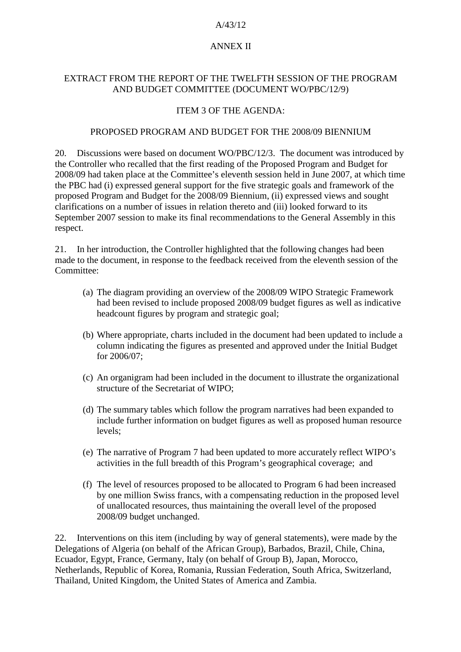#### $A/43/12$

#### ANNEX II

# EXTRACT FROM THE REPORT OF THE TWELFTH SESSION OF THE PROGRAM AND BUDGET COMMITTEE (DOCUMENT WO/PBC/12/9)

#### ITEM 3 OF THE AGENDA:

### PROPOSED PROGRAM AND BUDGET FOR THE 2008/09 BIENNIUM

20. Discussions were based on document WO/PBC/12/3. The document was introduced by the Controller who recalled that the first reading of the Proposed Program and Budget for 2008/09 had taken place at the Committee's eleventh session held in June 2007, at which time the PBC had (i) expressed general support for the five strategic goals and framework of the proposed Program and Budget for the 2008/09 Biennium, (ii) expressed views and sought clarifications on a number of issues in relation thereto and (iii) looked forward to its September 2007 session to make its final recommendations to the General Assembly in this respect.

21. In her introduction, the Controller highlighted that the following changes had been made to the document, in response to the feedback received from the eleventh session of the Committee:

- (a) The diagram providing an overview of the 2008/09 WIPO Strategic Framework had been revised to include proposed 2008/09 budget figures as well as indicative headcount figures by program and strategic goal;
- (b) Where appropriate, charts included in the document had been updated to include a column indicating the figures as presented and approved under the Initial Budget for 2006/07;
- (c) An organigram had been included in the document to illustrate the organizational structure of the Secretariat of WIPO;
- (d) The summary tables which follow the program narratives had been expanded to include further information on budget figures as well as proposed human resource levels;
- (e) The narrative of Program 7 had been updated to more accurately reflect WIPO's activities in the full breadth of this Program's geographical coverage; and
- (f) The level of resources proposed to be allocated to Program 6 had been increased by one million Swiss francs, with a compensating reduction in the proposed level of unallocated resources, thus maintaining the overall level of the proposed 2008/09 budget unchanged.

22. Interventions on this item (including by way of general statements), were made by the Delegations of Algeria (on behalf of the African Group), Barbados, Brazil, Chile, China, Ecuador, Egypt, France, Germany, Italy (on behalf of Group B), Japan, Morocco, Netherlands, Republic of Korea, Romania, Russian Federation, South Africa, Switzerland, Thailand, United Kingdom, the United States of America and Zambia.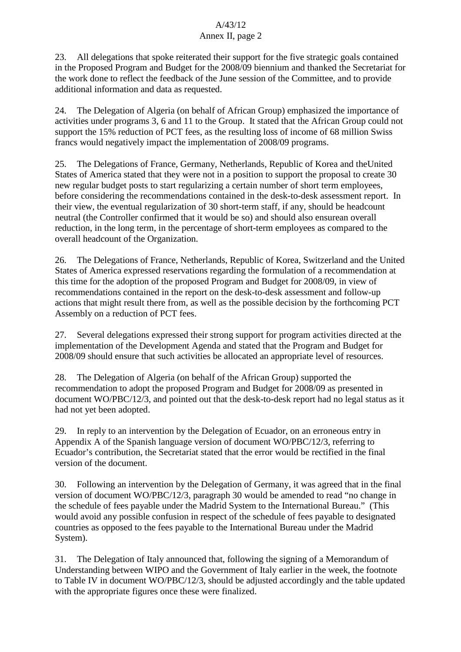# $A/43/12$ Annex II, page 2

23. All delegations that spoke reiterated their support for the five strategic goals contained in the Proposed Program and Budget for the 2008/09 biennium and thanked the Secretariat for the work done to reflect the feedback of the June session of the Committee, and to provide additional information and data as requested.

24. The Delegation of Algeria (on behalf of African Group) emphasized the importance of activities under programs 3, 6 and 11 to the Group. It stated that the African Group could not support the 15% reduction of PCT fees, as the resulting loss of income of 68 million Swiss francs would negatively impact the implementation of 2008/09 programs.

25. The Delegations of France, Germany, Netherlands, Republic of Korea and the United States of America stated that they were not in a position to support the proposal to create 30 new regular budget posts to start regularizing a certain number of short term employees, before considering the recommendations contained in the desk-to-desk assessment report. In their view, the eventual regularization of 30 short-term staff, if any, should be headcount neutral (the Controller confirmed that it would be so) and should also ensure an overall reduction, in the long term, in the percentage of short-term employees as compared to the overall headcount of the Organization.

26. The Delegations of France, Netherlands, Republic of Korea, Switzerland and the United States of America expressed reservations regarding the formulation of a recommendation at this time for the adoption of the proposed Program and Budget for 2008/09, in view of recommendations contained in the report on the desk-to-desk assessment and follow-up actions that might result there from, as well as the possible decision by the forthcoming PCT Assembly on a reduction of PCT fees.

27. Several delegations expressed their strong support for program activities directed at the implementation of the Development Agenda and stated that the Program and Budget for 2008/09 should ensure that such activities be allocated an appropriate level of resources.

28. The Delegation of Algeria (on behalf of the African Group) supported the recommendation to adopt the proposed Program and Budget for 2008/09 as presented in document WO/PBC/12/3, and pointed out that the desk-to-desk report had no legal status as it had not yet been adopted.

29. In reply to an intervention by the Delegation of Ecuador, on an erroneous entry in Appendix A of the Spanish language version of document WO/PBC/12/3, referring to Ecuador's contribution, the Secretariat stated that the error would be rectified in the final version of the document.

30. Following an intervention by the Delegation of Germany, it was agreed that in the final version of document WO/PBC/12/3, paragraph 30 would be amended to read "no change in the schedule of fees payable under the Madrid System to the International Bureau." (This would avoid any possible confusion in respect of the schedule of fees payable to designated countries as opposed to the fees payable to the International Bureau under the Madrid System).

31. The Delegation of Italy announced that, following the signing of a Memorandum of Understanding between WIPO and the Government of Italy earlier in the week, the footnote to Table IV in document WO/PBC/12/3, should be adjusted accordingly and the table updated with the appropriate figures once these were finalized.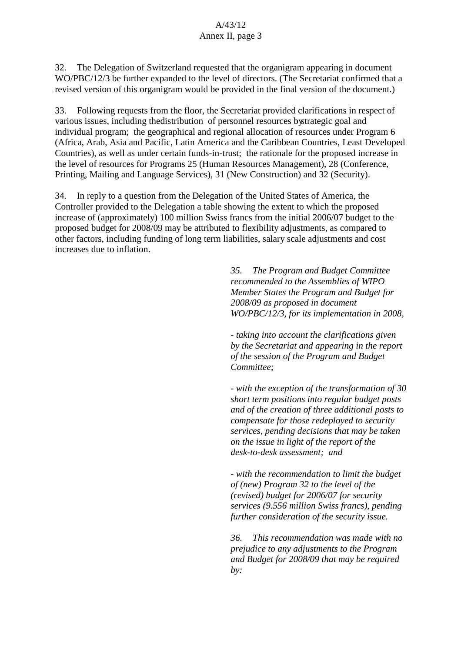# $A/43/12$ Annex II, page 3

32. The Delegation of Switzerland requested that the organigram appearing in document WO/PBC/12/3 be further expanded to the level of directors. (The Secretariat confirmed that a revised version of this organigram would be provided in the final version of the document.)

33. Following requests from the floor, the Secretariat provided clarifications in respect of various issues, including the distribution of personnel resources by strategic goal and individual program; the geographical and regional allocation of resources under Program 6 (Africa, Arab, Asia and Pacific, Latin America and the Caribbean Countries, Least Developed Countries), as well as under certain funds-in-trust; the rationale for the proposed increase in the level of resources for Programs 25 (Human Resources Management), 28 (Conference, Printing, Mailing and Language Services), 31 (New Construction) and 32 (Security).

34. In reply to a question from the Delegation of the United States of America, the Controller provided to the Delegation a table showing the extent to which the proposed increase of (approximately) 100 million Swiss francs from the initial 2006/07 budget to the proposed budget for 2008/09 may be attributed to flexibility adjustments, as compared to other factors, including funding of long term liabilities, salary scale adjustments and cost increases due to inflation.

> *35. The Program and Budget Committee recommended to the Assemblies of WIPO Member States the Program and Budget for 2008/09 as proposed in document WO/PBC/12/3, for its implementation in 2008,*

> *- taking into account the clarifications given by the Secretariat and appearing in the report of the session of the Program and Budget Committee;*

*- with the exception of the transformation of 30 short term positions into regular budget posts and of the creation of three additional posts to compensate for those redeployed to security services, pending decisions that may be taken on the issue in light of the report of the desk-to-desk assessment; and* 

*- with the recommendation to limit the budget of (new) Program 32 to the level of the (revised) budget for 2006/07 for security services (9.556 million Swiss francs), pending further consideration of the security issue.* 

*36. This recommendation was made with no prejudice to any adjustments to the Program and Budget for 2008/09 that may be required by:*